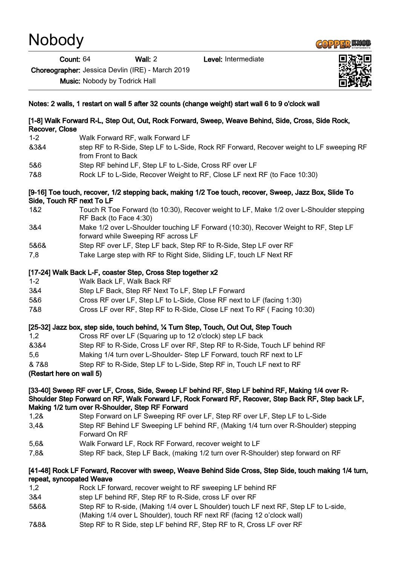# **Nobody**

Count: 64 Wall: 2 Level: Intermediate

Choreographer: Jessica Devlin (IRE) - March 2019

Music: Nobody by Todrick Hall



## [1-8] Walk Forward R-L, Step Out, Out, Rock Forward, Sweep, Weave Behind, Side, Cross, Side Rock, Recover, Close

- 1-2 Walk Forward RF, walk Forward LF
- &3&4 step RF to R-Side, Step LF to L-Side, Rock RF Forward, Recover weight to LF sweeping RF from Front to Back
- 5&6 Step RF behind LF, Step LF to L-Side, Cross RF over LF
- 7&8 Rock LF to L-Side, Recover Weight to RF, Close LF next RF (to Face 10:30)

## [9-16] Toe touch, recover, 1/2 stepping back, making 1/2 Toe touch, recover, Sweep, Jazz Box, Slide To Side, Touch RF next To LF

- 1&2 Touch R Toe Forward (to 10:30), Recover weight to LF, Make 1/2 over L-Shoulder stepping RF Back (to Face 4:30)
- 3&4 Make 1/2 over L-Shoulder touching LF Forward (10:30), Recover Weight to RF, Step LF forward while Sweeping RF across LF
- 5&6& Step RF over LF, Step LF back, Step RF to R-Side, Step LF over RF
- 7,8 Take Large step with RF to Right Side, Sliding LF, touch LF Next RF

## [17-24] Walk Back L-F, coaster Step, Cross Step together x2

- 1-2 Walk Back LF, Walk Back RF
- 3&4 Step LF Back, Step RF Next To LF, Step LF Forward
- 5&6 Cross RF over LF, Step LF to L-Side, Close RF next to LF (facing 1:30)
- 7&8 Cross LF over RF, Step RF to R-Side, Close LF next To RF ( Facing 10:30)

## [25-32] Jazz box, step side, touch behind, ¼ Turn Step, Touch, Out Out, Step Touch

1,2 Cross RF over LF (Squaring up to 12 o'clock) step LF back &3&4 Step RF to R-Side, Cross LF over RF, Step RF to R-Side, Touch LF behind RF 5,6 Making 1/4 turn over L-Shoulder- Step LF Forward, touch RF next to LF & 7&8 Step RF to R-Side, Step LF to L-Side, Step RF in, Touch LF next to RF

#### (Restart here on wall 5)

#### [33-40] Sweep RF over LF, Cross, Side, Sweep LF behind RF, Step LF behind RF, Making 1/4 over R-Shoulder Step Forward on RF, Walk Forward LF, Rock Forward RF, Recover, Step Back RF, Step back LF, Making 1/2 turn over R-Shoulder, Step RF Forward

- 1,2& Step Forward on LF Sweeping RF over LF, Step RF over LF, Step LF to L-Side
- 3,4& Step RF Behind LF Sweeping LF behind RF, (Making 1/4 turn over R-Shoulder) stepping Forward On RF
- 5,6& Walk Forward LF, Rock RF Forward, recover weight to LF
- 7,8& Step RF back, Step LF Back, (making 1/2 turn over R-Shoulder) step forward on RF

## [41-48] Rock LF Forward, Recover with sweep, Weave Behind Side Cross, Step Side, touch making 1/4 turn, repeat, syncopated Weave

- 1,2 Rock LF forward, recover weight to RF sweeping LF behind RF
- 3&4 step LF behind RF, Step RF to R-Side, cross LF over RF
- 5&6& Step RF to R-side, (Making 1/4 over L Shoulder) touch LF next RF, Step LF to L-side,
- (Making 1/4 over L Shoulder), touch RF next RF (facing 12 o'clock wall)
- 7&8& Step RF to R Side, step LF behind RF, Step RF to R, Cross LF over RF